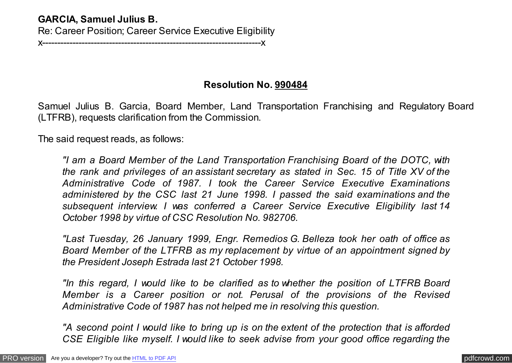## **GARCIA, Samuel Julius B.**

Re: Career Position; Career Service Executive Eligibility

x------------------------------------------------------------------------x

## **Resolution No. 990484**

Samuel Julius B. Garcia, Board Member, Land Transportation Franchising and Regulatory Board (LTFRB), requests clarification from the Commission.

The said request reads, as follows:

*"I am a Board Member of the Land Transportation Franchising Board of the DOTC, with the rank and privileges of an assistant secretary as stated in Sec. 15 of Title XV of the Administrative Code of 1987. I took the Career Service Executive Examinations administered by the CSC last 21 June 1998. I passed the said examinations and the subsequent interview. I was conferred a Career Service Executive Eligibility last 14 October 1998 by virtue of CSC Resolution No. 982706.*

*"Last Tuesday, 26 January 1999, Engr. Remedios G. Belleza took her oath of office as Board Member of the LTFRB as my replacement by virtue of an appointment signed by the President Joseph Estrada last 21 October 1998.*

*"In this regard, I would like to be clarified as to whether the position of LTFRB Board Member is a Career position or not. Perusal of the provisions of the Revised Administrative Code of 1987 has not helped me in resolving this question.*

*"A second point I would like to bring up is on the extent of the protection that is afforded CSE Eligible like myself. I would like to seek advise from your good office regarding the*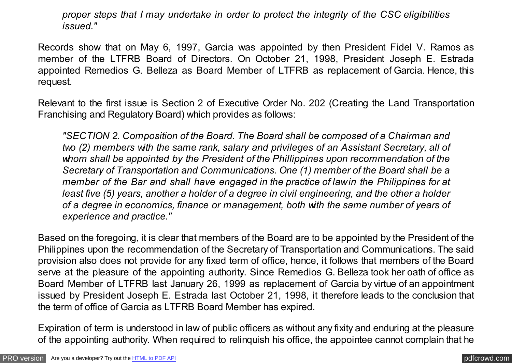*proper steps that I may undertake in order to protect the integrity of the CSC eligibilities issued."*

Records show that on May 6, 1997, Garcia was appointed by then President Fidel V. Ramos as member of the LTFRB Board of Directors. On October 21, 1998, President Joseph E. Estrada appointed Remedios G. Belleza as Board Member of LTFRB as replacement of Garcia. Hence, this request.

Relevant to the first issue is Section 2 of Executive Order No. 202 (Creating the Land Transportation Franchising and Regulatory Board) which provides as follows:

*"SECTION 2. Composition of the Board. The Board shall be composed of a Chairman and two (2) members with the same rank, salary and privileges of an Assistant Secretary, all of whom shall be appointed by the President of the Phillippines upon recommendation of the Secretary of Transportation and Communications. One (1) member of the Board shall be a member of the Bar and shall have engaged in the practice of law in the Philippines for at least five (5) years, another a holder of a degree in civil engineering, and the other a holder of a degree in economics, finance or management, both with the same number of years of experience and practice."*

Based on the foregoing, it is clear that members of the Board are to be appointed by the President of the Philippines upon the recommendation of the Secretary of Transportation and Communications. The said provision also does not provide for any fixed term of office, hence, it follows that members of the Board serve at the pleasure of the appointing authority. Since Remedios G. Belleza took her oath of office as Board Member of LTFRB last January 26, 1999 as replacement of Garcia by virtue of an appointment issued by President Joseph E. Estrada last October 21, 1998, it therefore leads to the conclusion that the term of office of Garcia as LTFRB Board Member has expired.

Expiration of term is understood in law of public officers as without any fixity and enduring at the pleasure of the appointing authority. When required to relinquish his office, the appointee cannot complain that he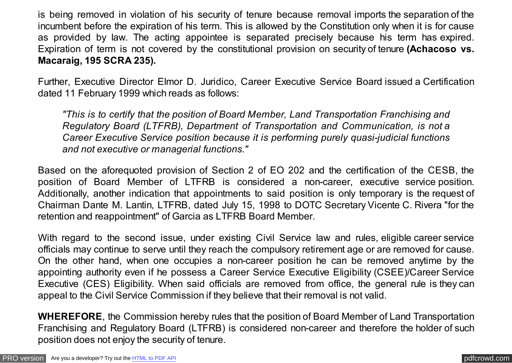is being removed in violation of his security of tenure because removal imports the separation of the incumbent before the expiration of his term. This is allowed by the Constitution only when it is for cause as provided by law. The acting appointee is separated precisely because his term has expired. Expiration of term is not covered by the constitutional provision on security of tenure **(Achacoso vs. Macaraig, 195 SCRA 235).**

Further, Executive Director Elmor D. Juridico, Career Executive Service Board issued a Certification dated 11 February 1999 which reads as follows:

*"This is to certify that the position of Board Member, Land Transportation Franchising and Regulatory Board (LTFRB), Department of Transportation and Communication, is not a Career Executive Service position because it is performing purely quasi-judicial functions and not executive or managerial functions."*

Based on the aforequoted provision of Section 2 of EO 202 and the certification of the CESB, the position of Board Member of LTFRB is considered a non-career, executive service position. Additionally, another indication that appointments to said position is only temporary is the request of Chairman Dante M. Lantin, LTFRB, dated July 15, 1998 to DOTC Secretary Vicente C. Rivera "for the retention and reappointment" of Garcia as LTFRB Board Member.

With regard to the second issue, under existing Civil Service law and rules, eligible career service officials may continue to serve until they reach the compulsory retirement age or are removed for cause. On the other hand, when one occupies a non-career position he can be removed anytime by the appointing authority even if he possess a Career Service Executive Eligibility (CSEE)/Career Service Executive (CES) Eligibility. When said officials are removed from office, the general rule is they can appeal to the Civil Service Commission if they believe that their removal is not valid.

**WHEREFORE**, the Commission hereby rules that the position of Board Member of Land Transportation Franchising and Regulatory Board (LTFRB) is considered non-career and therefore the holder of such position does not enjoy the security of tenure.